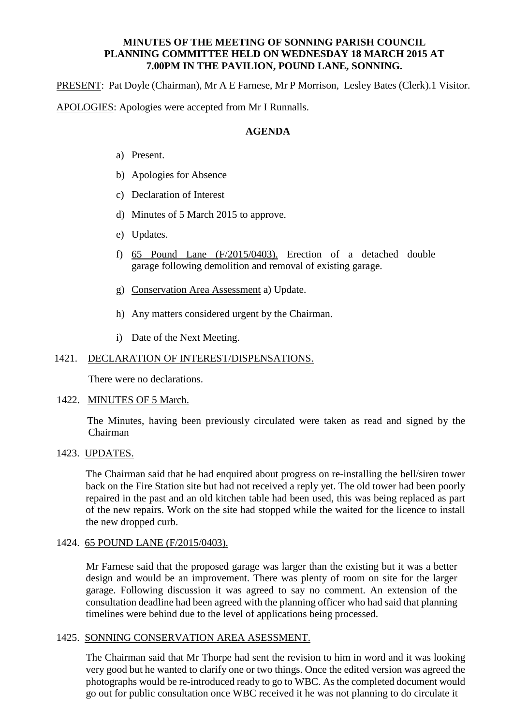### **MINUTES OF THE MEETING OF SONNING PARISH COUNCIL PLANNING COMMITTEE HELD ON WEDNESDAY 18 MARCH 2015 AT 7.00PM IN THE PAVILION, POUND LANE, SONNING.**

PRESENT: Pat Doyle (Chairman), Mr A E Farnese, Mr P Morrison, Lesley Bates (Clerk).1 Visitor. APOLOGIES: Apologies were accepted from Mr I Runnalls.

## **AGENDA**

- a) Present.
- b) Apologies for Absence
- c) Declaration of Interest
- d) Minutes of 5 March 2015 to approve.
- e) Updates.
- f) 65 Pound Lane (F/2015/0403). Erection of a detached double garage following demolition and removal of existing garage.
- g) Conservation Area Assessment a) Update.
- h) Any matters considered urgent by the Chairman.
- i) Date of the Next Meeting.

### 1421. DECLARATION OF INTEREST/DISPENSATIONS.

There were no declarations.

#### 1422. MINUTES OF 5 March.

 The Minutes, having been previously circulated were taken as read and signed by the Chairman

# 1423. UPDATES.

The Chairman said that he had enquired about progress on re-installing the bell/siren tower back on the Fire Station site but had not received a reply yet. The old tower had been poorly repaired in the past and an old kitchen table had been used, this was being replaced as part of the new repairs. Work on the site had stopped while the waited for the licence to install the new dropped curb.

#### 1424. 65 POUND LANE (F/2015/0403).

Mr Farnese said that the proposed garage was larger than the existing but it was a better design and would be an improvement. There was plenty of room on site for the larger garage. Following discussion it was agreed to say no comment. An extension of the consultation deadline had been agreed with the planning officer who had said that planning timelines were behind due to the level of applications being processed.

## 1425. SONNING CONSERVATION AREA ASESSMENT.

The Chairman said that Mr Thorpe had sent the revision to him in word and it was looking very good but he wanted to clarify one or two things. Once the edited version was agreed the photographs would be re-introduced ready to go to WBC. As the completed document would go out for public consultation once WBC received it he was not planning to do circulate it